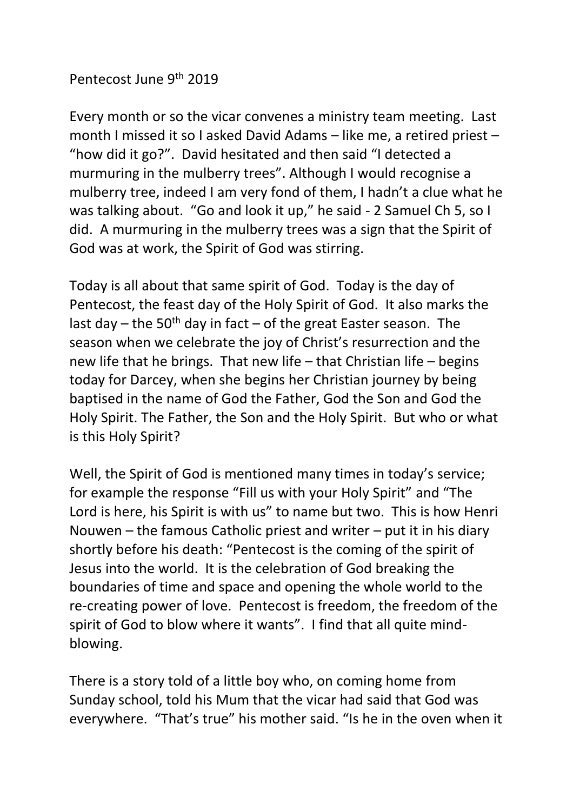## Pentecost June 9th 2019

Every month or so the vicar convenes a ministry team meeting. Last month I missed it so I asked David Adams – like me, a retired priest – "how did it go?". David hesitated and then said "I detected a murmuring in the mulberry trees". Although I would recognise a mulberry tree, indeed I am very fond of them, I hadn't a clue what he was talking about. "Go and look it up," he said - 2 Samuel Ch 5, so I did. A murmuring in the mulberry trees was a sign that the Spirit of God was at work, the Spirit of God was stirring.

Today is all about that same spirit of God. Today is the day of Pentecost, the feast day of the Holy Spirit of God. It also marks the last day – the 50<sup>th</sup> day in fact – of the great Easter season. The season when we celebrate the joy of Christ's resurrection and the new life that he brings. That new life – that Christian life – begins today for Darcey, when she begins her Christian journey by being baptised in the name of God the Father, God the Son and God the Holy Spirit. The Father, the Son and the Holy Spirit. But who or what is this Holy Spirit?

Well, the Spirit of God is mentioned many times in today's service; for example the response "Fill us with your Holy Spirit" and "The Lord is here, his Spirit is with us" to name but two. This is how Henri Nouwen – the famous Catholic priest and writer – put it in his diary shortly before his death: "Pentecost is the coming of the spirit of Jesus into the world. It is the celebration of God breaking the boundaries of time and space and opening the whole world to the re-creating power of love. Pentecost is freedom, the freedom of the spirit of God to blow where it wants". I find that all quite mindblowing.

There is a story told of a little boy who, on coming home from Sunday school, told his Mum that the vicar had said that God was everywhere. "That's true" his mother said. "Is he in the oven when it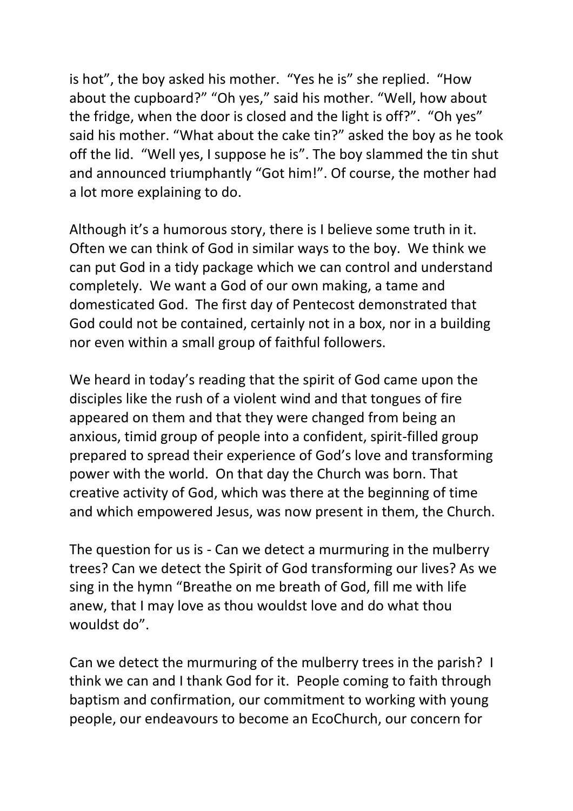is hot", the boy asked his mother. "Yes he is" she replied. "How about the cupboard?" "Oh yes," said his mother. "Well, how about the fridge, when the door is closed and the light is off?". "Oh yes" said his mother. "What about the cake tin?" asked the boy as he took off the lid. "Well yes, I suppose he is". The boy slammed the tin shut and announced triumphantly "Got him!". Of course, the mother had a lot more explaining to do.

Although it's a humorous story, there is I believe some truth in it. Often we can think of God in similar ways to the boy. We think we can put God in a tidy package which we can control and understand completely. We want a God of our own making, a tame and domesticated God. The first day of Pentecost demonstrated that God could not be contained, certainly not in a box, nor in a building nor even within a small group of faithful followers.

We heard in today's reading that the spirit of God came upon the disciples like the rush of a violent wind and that tongues of fire appeared on them and that they were changed from being an anxious, timid group of people into a confident, spirit-filled group prepared to spread their experience of God's love and transforming power with the world. On that day the Church was born. That creative activity of God, which was there at the beginning of time and which empowered Jesus, was now present in them, the Church.

The question for us is - Can we detect a murmuring in the mulberry trees? Can we detect the Spirit of God transforming our lives? As we sing in the hymn "Breathe on me breath of God, fill me with life anew, that I may love as thou wouldst love and do what thou wouldst do".

Can we detect the murmuring of the mulberry trees in the parish? I think we can and I thank God for it. People coming to faith through baptism and confirmation, our commitment to working with young people, our endeavours to become an EcoChurch, our concern for